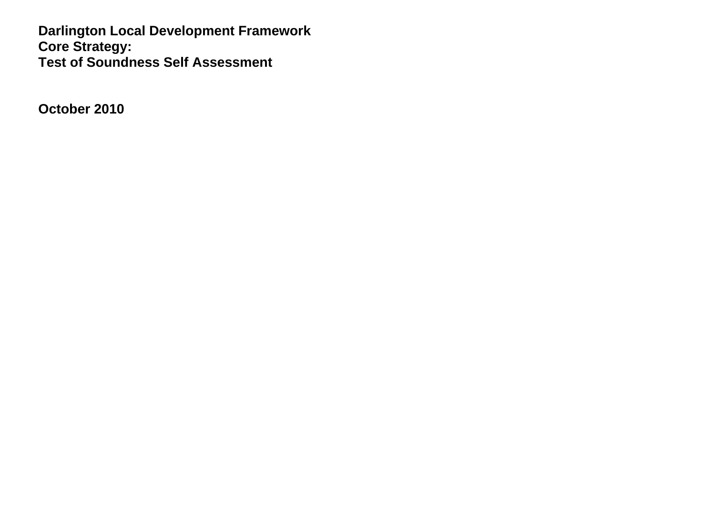**Darlington Local Development Framework Core Strategy: Test of Soundness Self Assessment** 

**October 2010**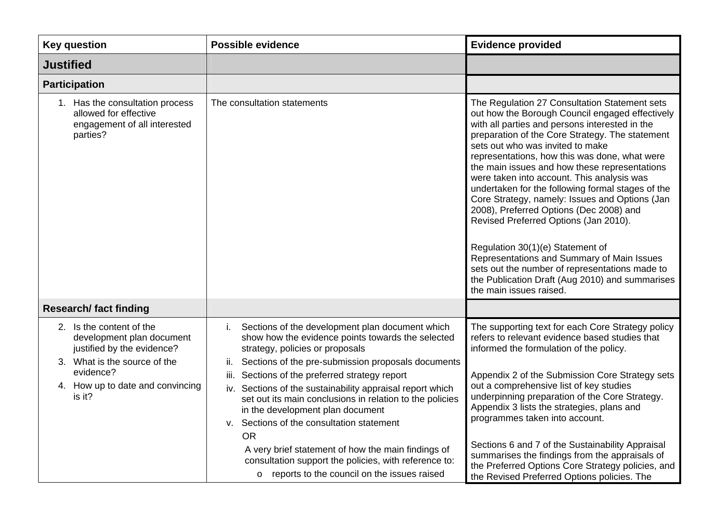| <b>Key question</b>                                                                                                                                                               | <b>Possible evidence</b>                                                                                                                                                                                                                                                                                                                                                                                                                                                                                                                                                                                                                            | <b>Evidence provided</b>                                                                                                                                                                                                                                                                                                                                                                                                                                                                                                                                                                                                                                                                                                                                                                               |
|-----------------------------------------------------------------------------------------------------------------------------------------------------------------------------------|-----------------------------------------------------------------------------------------------------------------------------------------------------------------------------------------------------------------------------------------------------------------------------------------------------------------------------------------------------------------------------------------------------------------------------------------------------------------------------------------------------------------------------------------------------------------------------------------------------------------------------------------------------|--------------------------------------------------------------------------------------------------------------------------------------------------------------------------------------------------------------------------------------------------------------------------------------------------------------------------------------------------------------------------------------------------------------------------------------------------------------------------------------------------------------------------------------------------------------------------------------------------------------------------------------------------------------------------------------------------------------------------------------------------------------------------------------------------------|
| <b>Justified</b>                                                                                                                                                                  |                                                                                                                                                                                                                                                                                                                                                                                                                                                                                                                                                                                                                                                     |                                                                                                                                                                                                                                                                                                                                                                                                                                                                                                                                                                                                                                                                                                                                                                                                        |
| <b>Participation</b>                                                                                                                                                              |                                                                                                                                                                                                                                                                                                                                                                                                                                                                                                                                                                                                                                                     |                                                                                                                                                                                                                                                                                                                                                                                                                                                                                                                                                                                                                                                                                                                                                                                                        |
| 1. Has the consultation process<br>allowed for effective<br>engagement of all interested<br>parties?                                                                              | The consultation statements                                                                                                                                                                                                                                                                                                                                                                                                                                                                                                                                                                                                                         | The Regulation 27 Consultation Statement sets<br>out how the Borough Council engaged effectively<br>with all parties and persons interested in the<br>preparation of the Core Strategy. The statement<br>sets out who was invited to make<br>representations, how this was done, what were<br>the main issues and how these representations<br>were taken into account. This analysis was<br>undertaken for the following formal stages of the<br>Core Strategy, namely: Issues and Options (Jan<br>2008), Preferred Options (Dec 2008) and<br>Revised Preferred Options (Jan 2010).<br>Regulation 30(1)(e) Statement of<br>Representations and Summary of Main Issues<br>sets out the number of representations made to<br>the Publication Draft (Aug 2010) and summarises<br>the main issues raised. |
| <b>Research/fact finding</b>                                                                                                                                                      |                                                                                                                                                                                                                                                                                                                                                                                                                                                                                                                                                                                                                                                     |                                                                                                                                                                                                                                                                                                                                                                                                                                                                                                                                                                                                                                                                                                                                                                                                        |
| 2. Is the content of the<br>development plan document<br>justified by the evidence?<br>What is the source of the<br>3.<br>evidence?<br>4. How up to date and convincing<br>is it? | Sections of the development plan document which<br>show how the evidence points towards the selected<br>strategy, policies or proposals<br>Sections of the pre-submission proposals documents<br>ii.<br>Sections of the preferred strategy report<br>iii.<br>iv. Sections of the sustainability appraisal report which<br>set out its main conclusions in relation to the policies<br>in the development plan document<br>Sections of the consultation statement<br>v.<br><b>OR</b><br>A very brief statement of how the main findings of<br>consultation support the policies, with reference to:<br>o reports to the council on the issues raised | The supporting text for each Core Strategy policy<br>refers to relevant evidence based studies that<br>informed the formulation of the policy.<br>Appendix 2 of the Submission Core Strategy sets<br>out a comprehensive list of key studies<br>underpinning preparation of the Core Strategy.<br>Appendix 3 lists the strategies, plans and<br>programmes taken into account.<br>Sections 6 and 7 of the Sustainability Appraisal<br>summarises the findings from the appraisals of<br>the Preferred Options Core Strategy policies, and<br>the Revised Preferred Options policies. The                                                                                                                                                                                                               |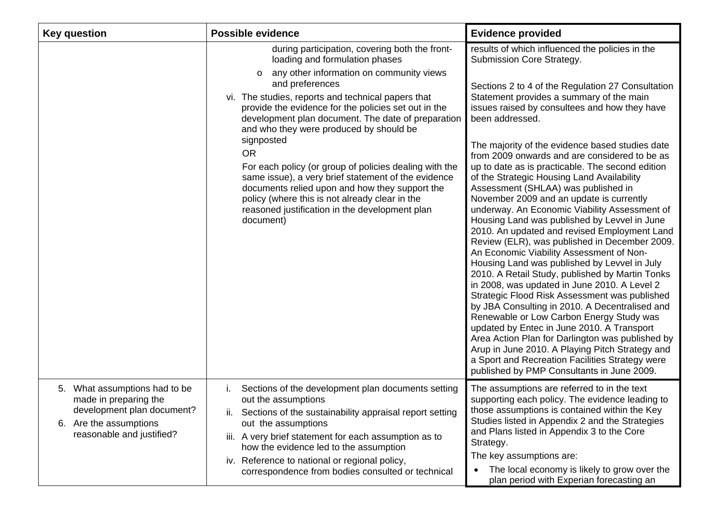| <b>Key question</b>                                                                                                                         | <b>Possible evidence</b>                                                                                                                                                                                                                                                                                                                                                                                                                                                                                                                                                                                                                                                                 | <b>Evidence provided</b>                                                                                                                                                                                                                                                                                                                                                                                                                                                                                                                                                                                                                                                                                                                                                                                                                                                                                                                                                                                                                                                                                                                                                                                                                                                                                                                         |
|---------------------------------------------------------------------------------------------------------------------------------------------|------------------------------------------------------------------------------------------------------------------------------------------------------------------------------------------------------------------------------------------------------------------------------------------------------------------------------------------------------------------------------------------------------------------------------------------------------------------------------------------------------------------------------------------------------------------------------------------------------------------------------------------------------------------------------------------|--------------------------------------------------------------------------------------------------------------------------------------------------------------------------------------------------------------------------------------------------------------------------------------------------------------------------------------------------------------------------------------------------------------------------------------------------------------------------------------------------------------------------------------------------------------------------------------------------------------------------------------------------------------------------------------------------------------------------------------------------------------------------------------------------------------------------------------------------------------------------------------------------------------------------------------------------------------------------------------------------------------------------------------------------------------------------------------------------------------------------------------------------------------------------------------------------------------------------------------------------------------------------------------------------------------------------------------------------|
|                                                                                                                                             | during participation, covering both the front-<br>loading and formulation phases<br>any other information on community views<br>$\circ$<br>and preferences<br>vi. The studies, reports and technical papers that<br>provide the evidence for the policies set out in the<br>development plan document. The date of preparation<br>and who they were produced by should be<br>signposted<br><b>OR</b><br>For each policy (or group of policies dealing with the<br>same issue), a very brief statement of the evidence<br>documents relied upon and how they support the<br>policy (where this is not already clear in the<br>reasoned justification in the development plan<br>document) | results of which influenced the policies in the<br>Submission Core Strategy.<br>Sections 2 to 4 of the Regulation 27 Consultation<br>Statement provides a summary of the main<br>issues raised by consultees and how they have<br>been addressed.<br>The majority of the evidence based studies date<br>from 2009 onwards and are considered to be as<br>up to date as is practicable. The second edition<br>of the Strategic Housing Land Availability<br>Assessment (SHLAA) was published in<br>November 2009 and an update is currently<br>underway. An Economic Viability Assessment of<br>Housing Land was published by Levvel in June<br>2010. An updated and revised Employment Land<br>Review (ELR), was published in December 2009.<br>An Economic Viability Assessment of Non-<br>Housing Land was published by Levvel in July<br>2010. A Retail Study, published by Martin Tonks<br>in 2008, was updated in June 2010. A Level 2<br>Strategic Flood Risk Assessment was published<br>by JBA Consulting in 2010. A Decentralised and<br>Renewable or Low Carbon Energy Study was<br>updated by Entec in June 2010. A Transport<br>Area Action Plan for Darlington was published by<br>Arup in June 2010. A Playing Pitch Strategy and<br>a Sport and Recreation Facilities Strategy were<br>published by PMP Consultants in June 2009. |
| 5. What assumptions had to be<br>made in preparing the<br>development plan document?<br>6. Are the assumptions<br>reasonable and justified? | Sections of the development plan documents setting<br>$\mathbf{L}$<br>out the assumptions<br>Sections of the sustainability appraisal report setting<br>out the assumptions<br>iii. A very brief statement for each assumption as to<br>how the evidence led to the assumption<br>iv. Reference to national or regional policy,<br>correspondence from bodies consulted or technical                                                                                                                                                                                                                                                                                                     | The assumptions are referred to in the text<br>supporting each policy. The evidence leading to<br>those assumptions is contained within the Key<br>Studies listed in Appendix 2 and the Strategies<br>and Plans listed in Appendix 3 to the Core<br>Strategy.<br>The key assumptions are:<br>The local economy is likely to grow over the<br>$\bullet$<br>plan period with Experian forecasting an                                                                                                                                                                                                                                                                                                                                                                                                                                                                                                                                                                                                                                                                                                                                                                                                                                                                                                                                               |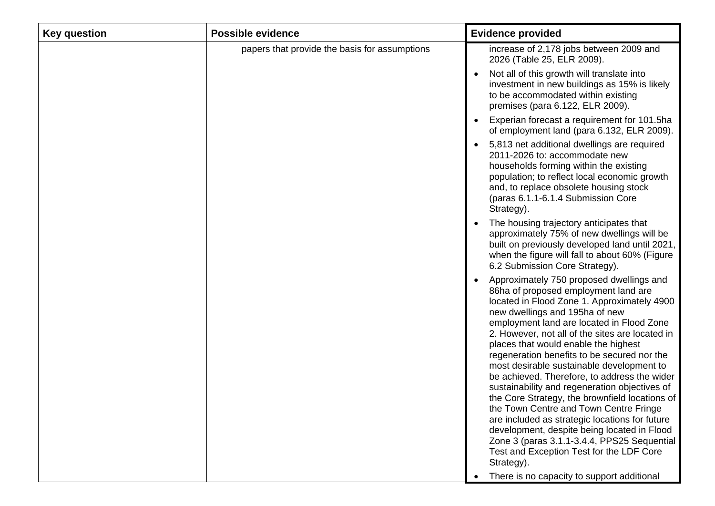| papers that provide the basis for assumptions | increase of 2,178 jobs between 2009 and                                                                                                                                                                                                                                                                                                                                                                                                                                                                                                                                                                                                                                                                                                                                                                                                                    |
|-----------------------------------------------|------------------------------------------------------------------------------------------------------------------------------------------------------------------------------------------------------------------------------------------------------------------------------------------------------------------------------------------------------------------------------------------------------------------------------------------------------------------------------------------------------------------------------------------------------------------------------------------------------------------------------------------------------------------------------------------------------------------------------------------------------------------------------------------------------------------------------------------------------------|
|                                               | 2026 (Table 25, ELR 2009).                                                                                                                                                                                                                                                                                                                                                                                                                                                                                                                                                                                                                                                                                                                                                                                                                                 |
|                                               | Not all of this growth will translate into<br>investment in new buildings as 15% is likely<br>to be accommodated within existing<br>premises (para 6.122, ELR 2009).                                                                                                                                                                                                                                                                                                                                                                                                                                                                                                                                                                                                                                                                                       |
|                                               | Experian forecast a requirement for 101.5ha<br>of employment land (para 6.132, ELR 2009).                                                                                                                                                                                                                                                                                                                                                                                                                                                                                                                                                                                                                                                                                                                                                                  |
|                                               | 5,813 net additional dwellings are required<br>2011-2026 to: accommodate new<br>households forming within the existing<br>population; to reflect local economic growth<br>and, to replace obsolete housing stock<br>(paras 6.1.1-6.1.4 Submission Core<br>Strategy).                                                                                                                                                                                                                                                                                                                                                                                                                                                                                                                                                                                       |
|                                               | The housing trajectory anticipates that<br>approximately 75% of new dwellings will be<br>built on previously developed land until 2021,<br>when the figure will fall to about 60% (Figure<br>6.2 Submission Core Strategy).                                                                                                                                                                                                                                                                                                                                                                                                                                                                                                                                                                                                                                |
|                                               | Approximately 750 proposed dwellings and<br>86ha of proposed employment land are<br>located in Flood Zone 1. Approximately 4900<br>new dwellings and 195ha of new<br>employment land are located in Flood Zone<br>2. However, not all of the sites are located in<br>places that would enable the highest<br>regeneration benefits to be secured nor the<br>most desirable sustainable development to<br>be achieved. Therefore, to address the wider<br>sustainability and regeneration objectives of<br>the Core Strategy, the brownfield locations of<br>the Town Centre and Town Centre Fringe<br>are included as strategic locations for future<br>development, despite being located in Flood<br>Zone 3 (paras 3.1.1-3.4.4, PPS25 Sequential<br>Test and Exception Test for the LDF Core<br>Strategy).<br>There is no capacity to support additional |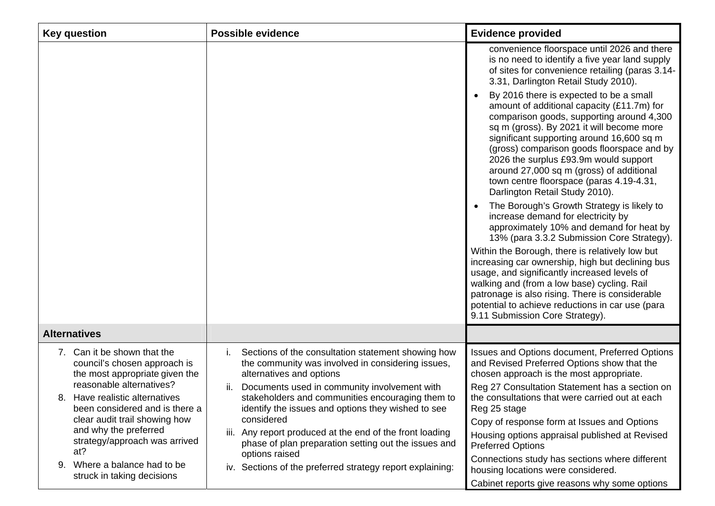| <b>Key question</b>                                                                                                       | <b>Possible evidence</b>                                                                                                                                                                  | <b>Evidence provided</b>                                                                                                                                                                                                                                                                                                                                                                                                                      |
|---------------------------------------------------------------------------------------------------------------------------|-------------------------------------------------------------------------------------------------------------------------------------------------------------------------------------------|-----------------------------------------------------------------------------------------------------------------------------------------------------------------------------------------------------------------------------------------------------------------------------------------------------------------------------------------------------------------------------------------------------------------------------------------------|
|                                                                                                                           |                                                                                                                                                                                           | convenience floorspace until 2026 and there<br>is no need to identify a five year land supply<br>of sites for convenience retailing (paras 3.14-<br>3.31, Darlington Retail Study 2010).                                                                                                                                                                                                                                                      |
|                                                                                                                           |                                                                                                                                                                                           | By 2016 there is expected to be a small<br>amount of additional capacity (£11.7m) for<br>comparison goods, supporting around 4,300<br>sq m (gross). By 2021 it will become more<br>significant supporting around 16,600 sq m<br>(gross) comparison goods floorspace and by<br>2026 the surplus £93.9m would support<br>around 27,000 sq m (gross) of additional<br>town centre floorspace (paras 4.19-4.31,<br>Darlington Retail Study 2010). |
|                                                                                                                           |                                                                                                                                                                                           | The Borough's Growth Strategy is likely to<br>increase demand for electricity by<br>approximately 10% and demand for heat by<br>13% (para 3.3.2 Submission Core Strategy).                                                                                                                                                                                                                                                                    |
|                                                                                                                           |                                                                                                                                                                                           | Within the Borough, there is relatively low but<br>increasing car ownership, high but declining bus<br>usage, and significantly increased levels of<br>walking and (from a low base) cycling. Rail<br>patronage is also rising. There is considerable<br>potential to achieve reductions in car use (para<br>9.11 Submission Core Strategy).                                                                                                  |
| <b>Alternatives</b>                                                                                                       |                                                                                                                                                                                           |                                                                                                                                                                                                                                                                                                                                                                                                                                               |
| 7. Can it be shown that the<br>council's chosen approach is<br>the most appropriate given the<br>reasonable alternatives? | Sections of the consultation statement showing how<br>İ.<br>the community was involved in considering issues,<br>alternatives and options<br>Documents used in community involvement with | Issues and Options document, Preferred Options<br>and Revised Preferred Options show that the<br>chosen approach is the most appropriate.<br>Reg 27 Consultation Statement has a section on                                                                                                                                                                                                                                                   |
| 8. Have realistic alternatives<br>been considered and is there a<br>clear audit trail showing how                         | stakeholders and communities encouraging them to<br>identify the issues and options they wished to see<br>considered                                                                      | the consultations that were carried out at each<br>Reg 25 stage<br>Copy of response form at Issues and Options                                                                                                                                                                                                                                                                                                                                |
| and why the preferred<br>strategy/approach was arrived<br>at?                                                             | Any report produced at the end of the front loading<br>iii.<br>phase of plan preparation setting out the issues and                                                                       | Housing options appraisal published at Revised<br><b>Preferred Options</b>                                                                                                                                                                                                                                                                                                                                                                    |
| 9. Where a balance had to be<br>struck in taking decisions                                                                | options raised<br>iv. Sections of the preferred strategy report explaining:                                                                                                               | Connections study has sections where different<br>housing locations were considered.<br>Cabinet reports give reasons why some options                                                                                                                                                                                                                                                                                                         |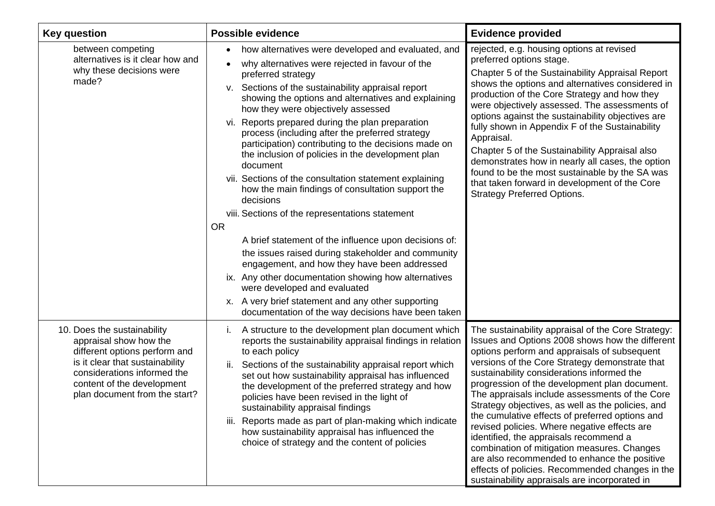| Key question                                                                                                                                                                                                            | <b>Possible evidence</b>                                                                                                                                                                                                                                                                                                                                                                                                                                                                                                                                                                                                                                                                                                                                                                                                                                                                                                                                                                                                                                                         | <b>Evidence provided</b>                                                                                                                                                                                                                                                                                                                                                                                                                                                                                                                                                                                                                                                                                                                                      |
|-------------------------------------------------------------------------------------------------------------------------------------------------------------------------------------------------------------------------|----------------------------------------------------------------------------------------------------------------------------------------------------------------------------------------------------------------------------------------------------------------------------------------------------------------------------------------------------------------------------------------------------------------------------------------------------------------------------------------------------------------------------------------------------------------------------------------------------------------------------------------------------------------------------------------------------------------------------------------------------------------------------------------------------------------------------------------------------------------------------------------------------------------------------------------------------------------------------------------------------------------------------------------------------------------------------------|---------------------------------------------------------------------------------------------------------------------------------------------------------------------------------------------------------------------------------------------------------------------------------------------------------------------------------------------------------------------------------------------------------------------------------------------------------------------------------------------------------------------------------------------------------------------------------------------------------------------------------------------------------------------------------------------------------------------------------------------------------------|
| between competing<br>alternatives is it clear how and<br>why these decisions were<br>made?                                                                                                                              | how alternatives were developed and evaluated, and<br>why alternatives were rejected in favour of the<br>preferred strategy<br>v. Sections of the sustainability appraisal report<br>showing the options and alternatives and explaining<br>how they were objectively assessed<br>Reports prepared during the plan preparation<br>VI.<br>process (including after the preferred strategy<br>participation) contributing to the decisions made on<br>the inclusion of policies in the development plan<br>document<br>vii. Sections of the consultation statement explaining<br>how the main findings of consultation support the<br>decisions<br>viii. Sections of the representations statement<br><b>OR</b><br>A brief statement of the influence upon decisions of:<br>the issues raised during stakeholder and community<br>engagement, and how they have been addressed<br>ix. Any other documentation showing how alternatives<br>were developed and evaluated<br>x. A very brief statement and any other supporting<br>documentation of the way decisions have been taken | rejected, e.g. housing options at revised<br>preferred options stage.<br>Chapter 5 of the Sustainability Appraisal Report<br>shows the options and alternatives considered in<br>production of the Core Strategy and how they<br>were objectively assessed. The assessments of<br>options against the sustainability objectives are<br>fully shown in Appendix F of the Sustainability<br>Appraisal.<br>Chapter 5 of the Sustainability Appraisal also<br>demonstrates how in nearly all cases, the option<br>found to be the most sustainable by the SA was<br>that taken forward in development of the Core<br><b>Strategy Preferred Options.</b>                                                                                                           |
| 10. Does the sustainability<br>appraisal show how the<br>different options perform and<br>is it clear that sustainability<br>considerations informed the<br>content of the development<br>plan document from the start? | A structure to the development plan document which<br>Ι.<br>reports the sustainability appraisal findings in relation<br>to each policy<br>Sections of the sustainability appraisal report which<br>ii.<br>set out how sustainability appraisal has influenced<br>the development of the preferred strategy and how<br>policies have been revised in the light of<br>sustainability appraisal findings<br>iii. Reports made as part of plan-making which indicate<br>how sustainability appraisal has influenced the<br>choice of strategy and the content of policies                                                                                                                                                                                                                                                                                                                                                                                                                                                                                                           | The sustainability appraisal of the Core Strategy:<br>Issues and Options 2008 shows how the different<br>options perform and appraisals of subsequent<br>versions of the Core Strategy demonstrate that<br>sustainability considerations informed the<br>progression of the development plan document.<br>The appraisals include assessments of the Core<br>Strategy objectives, as well as the policies, and<br>the cumulative effects of preferred options and<br>revised policies. Where negative effects are<br>identified, the appraisals recommend a<br>combination of mitigation measures. Changes<br>are also recommended to enhance the positive<br>effects of policies. Recommended changes in the<br>sustainability appraisals are incorporated in |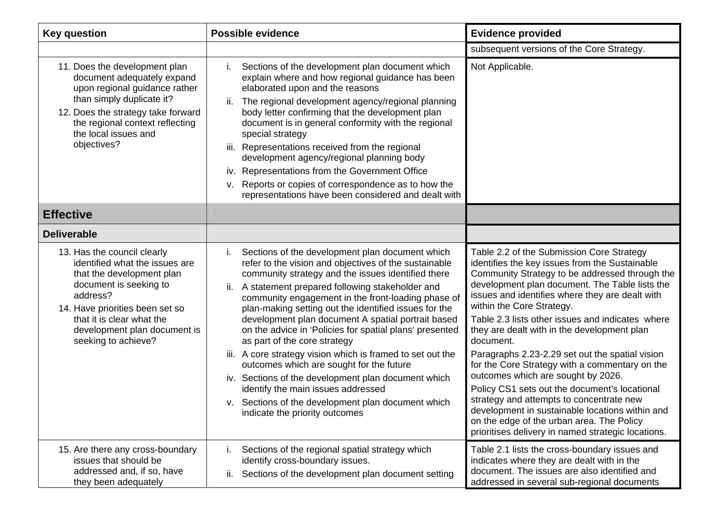| <b>Key question</b>                                                                                                                                                                                                                                     | <b>Possible evidence</b>                                                                                                                                                                                                                                                                                                                                                                                                                                                                                                                                                                                                                                                                                                                                                               | <b>Evidence provided</b>                                                                                                                                                                                                                                                                                                                                                                                                                                                                                                                                                                                                                                                                                                                                                                      |
|---------------------------------------------------------------------------------------------------------------------------------------------------------------------------------------------------------------------------------------------------------|----------------------------------------------------------------------------------------------------------------------------------------------------------------------------------------------------------------------------------------------------------------------------------------------------------------------------------------------------------------------------------------------------------------------------------------------------------------------------------------------------------------------------------------------------------------------------------------------------------------------------------------------------------------------------------------------------------------------------------------------------------------------------------------|-----------------------------------------------------------------------------------------------------------------------------------------------------------------------------------------------------------------------------------------------------------------------------------------------------------------------------------------------------------------------------------------------------------------------------------------------------------------------------------------------------------------------------------------------------------------------------------------------------------------------------------------------------------------------------------------------------------------------------------------------------------------------------------------------|
|                                                                                                                                                                                                                                                         |                                                                                                                                                                                                                                                                                                                                                                                                                                                                                                                                                                                                                                                                                                                                                                                        | subsequent versions of the Core Strategy.                                                                                                                                                                                                                                                                                                                                                                                                                                                                                                                                                                                                                                                                                                                                                     |
| 11. Does the development plan<br>document adequately expand<br>upon regional guidance rather<br>than simply duplicate it?<br>12. Does the strategy take forward<br>the regional context reflecting<br>the local issues and<br>objectives?               | Sections of the development plan document which<br>explain where and how regional guidance has been<br>elaborated upon and the reasons<br>The regional development agency/regional planning<br>ii.<br>body letter confirming that the development plan<br>document is in general conformity with the regional<br>special strategy<br>Representations received from the regional<br>iii.<br>development agency/regional planning body<br>iv. Representations from the Government Office<br>v. Reports or copies of correspondence as to how the<br>representations have been considered and dealt with                                                                                                                                                                                  | Not Applicable.                                                                                                                                                                                                                                                                                                                                                                                                                                                                                                                                                                                                                                                                                                                                                                               |
| <b>Effective</b>                                                                                                                                                                                                                                        |                                                                                                                                                                                                                                                                                                                                                                                                                                                                                                                                                                                                                                                                                                                                                                                        |                                                                                                                                                                                                                                                                                                                                                                                                                                                                                                                                                                                                                                                                                                                                                                                               |
| <b>Deliverable</b>                                                                                                                                                                                                                                      |                                                                                                                                                                                                                                                                                                                                                                                                                                                                                                                                                                                                                                                                                                                                                                                        |                                                                                                                                                                                                                                                                                                                                                                                                                                                                                                                                                                                                                                                                                                                                                                                               |
| 13. Has the council clearly<br>identified what the issues are<br>that the development plan<br>document is seeking to<br>address?<br>14. Have priorities been set so<br>that it is clear what the<br>development plan document is<br>seeking to achieve? | Sections of the development plan document which<br>refer to the vision and objectives of the sustainable<br>community strategy and the issues identified there<br>A statement prepared following stakeholder and<br>ii.<br>community engagement in the front-loading phase of<br>plan-making setting out the identified issues for the<br>development plan document A spatial portrait based<br>on the advice in 'Policies for spatial plans' presented<br>as part of the core strategy<br>iii. A core strategy vision which is framed to set out the<br>outcomes which are sought for the future<br>iv. Sections of the development plan document which<br>identify the main issues addressed<br>v. Sections of the development plan document which<br>indicate the priority outcomes | Table 2.2 of the Submission Core Strategy<br>identifies the key issues from the Sustainable<br>Community Strategy to be addressed through the<br>development plan document. The Table lists the<br>issues and identifies where they are dealt with<br>within the Core Strategy.<br>Table 2.3 lists other issues and indicates where<br>they are dealt with in the development plan<br>document.<br>Paragraphs 2.23-2.29 set out the spatial vision<br>for the Core Strategy with a commentary on the<br>outcomes which are sought by 2026.<br>Policy CS1 sets out the document's locational<br>strategy and attempts to concentrate new<br>development in sustainable locations within and<br>on the edge of the urban area. The Policy<br>prioritises delivery in named strategic locations. |
| 15. Are there any cross-boundary<br>issues that should be<br>addressed and, if so, have<br>they been adequately                                                                                                                                         | Sections of the regional spatial strategy which<br>İ.<br>identify cross-boundary issues.<br>Sections of the development plan document setting<br>ii.                                                                                                                                                                                                                                                                                                                                                                                                                                                                                                                                                                                                                                   | Table 2.1 lists the cross-boundary issues and<br>indicates where they are dealt with in the<br>document. The issues are also identified and<br>addressed in several sub-regional documents                                                                                                                                                                                                                                                                                                                                                                                                                                                                                                                                                                                                    |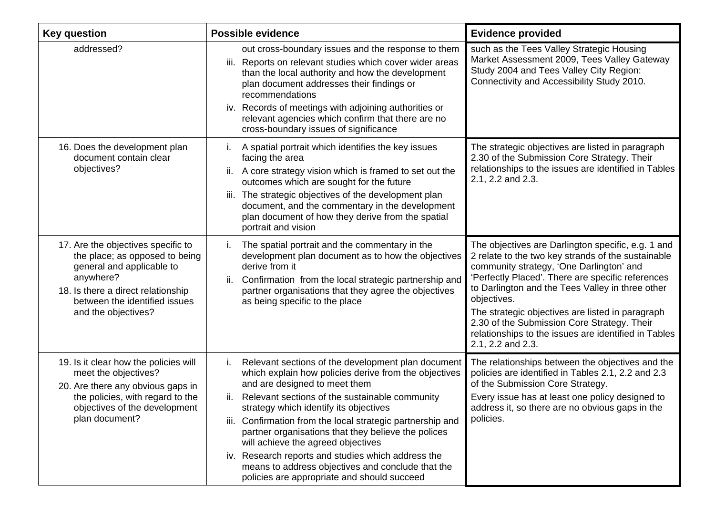| <b>Key question</b>                                                                                                                                                                                          | <b>Possible evidence</b>                                                                                                                                                                                                                                                                                                                                                                                                                                                                                                                                                    | <b>Evidence provided</b>                                                                                                                                                                                                                                                                                                                                                                                                                                     |
|--------------------------------------------------------------------------------------------------------------------------------------------------------------------------------------------------------------|-----------------------------------------------------------------------------------------------------------------------------------------------------------------------------------------------------------------------------------------------------------------------------------------------------------------------------------------------------------------------------------------------------------------------------------------------------------------------------------------------------------------------------------------------------------------------------|--------------------------------------------------------------------------------------------------------------------------------------------------------------------------------------------------------------------------------------------------------------------------------------------------------------------------------------------------------------------------------------------------------------------------------------------------------------|
| addressed?                                                                                                                                                                                                   | out cross-boundary issues and the response to them<br>iii. Reports on relevant studies which cover wider areas<br>than the local authority and how the development<br>plan document addresses their findings or<br>recommendations<br>iv. Records of meetings with adjoining authorities or<br>relevant agencies which confirm that there are no<br>cross-boundary issues of significance                                                                                                                                                                                   | such as the Tees Valley Strategic Housing<br>Market Assessment 2009, Tees Valley Gateway<br>Study 2004 and Tees Valley City Region:<br>Connectivity and Accessibility Study 2010.                                                                                                                                                                                                                                                                            |
| 16. Does the development plan<br>document contain clear<br>objectives?                                                                                                                                       | A spatial portrait which identifies the key issues<br>facing the area<br>A core strategy vision which is framed to set out the<br>ii.<br>outcomes which are sought for the future<br>The strategic objectives of the development plan<br>III.<br>document, and the commentary in the development<br>plan document of how they derive from the spatial<br>portrait and vision                                                                                                                                                                                                | The strategic objectives are listed in paragraph<br>2.30 of the Submission Core Strategy. Their<br>relationships to the issues are identified in Tables<br>2.1, 2.2 and 2.3.                                                                                                                                                                                                                                                                                 |
| 17. Are the objectives specific to<br>the place; as opposed to being<br>general and applicable to<br>anywhere?<br>18. Is there a direct relationship<br>between the identified issues<br>and the objectives? | The spatial portrait and the commentary in the<br>i.<br>development plan document as to how the objectives<br>derive from it<br>Confirmation from the local strategic partnership and<br>ii.<br>partner organisations that they agree the objectives<br>as being specific to the place                                                                                                                                                                                                                                                                                      | The objectives are Darlington specific, e.g. 1 and<br>2 relate to the two key strands of the sustainable<br>community strategy, 'One Darlington' and<br>'Perfectly Placed'. There are specific references<br>to Darlington and the Tees Valley in three other<br>objectives.<br>The strategic objectives are listed in paragraph<br>2.30 of the Submission Core Strategy. Their<br>relationships to the issues are identified in Tables<br>2.1, 2.2 and 2.3. |
| 19. Is it clear how the policies will<br>meet the objectives?<br>20. Are there any obvious gaps in<br>the policies, with regard to the<br>objectives of the development<br>plan document?                    | Relevant sections of the development plan document<br>i.<br>which explain how policies derive from the objectives<br>and are designed to meet them<br>ii.<br>Relevant sections of the sustainable community<br>strategy which identify its objectives<br>Confirmation from the local strategic partnership and<br>Ш.<br>partner organisations that they believe the polices<br>will achieve the agreed objectives<br>iv. Research reports and studies which address the<br>means to address objectives and conclude that the<br>policies are appropriate and should succeed | The relationships between the objectives and the<br>policies are identified in Tables 2.1, 2.2 and 2.3<br>of the Submission Core Strategy.<br>Every issue has at least one policy designed to<br>address it, so there are no obvious gaps in the<br>policies.                                                                                                                                                                                                |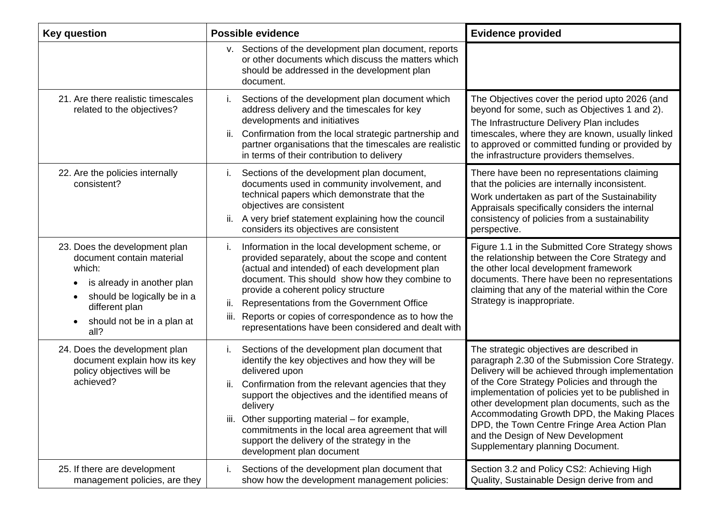| <b>Key question</b>                                                                                                                                                                                                      | <b>Possible evidence</b>                                                                                                                                                                                                                                                                                                                                                                                                                   | <b>Evidence provided</b>                                                                                                                                                                                                                                                                                                                                                                                                                                                        |
|--------------------------------------------------------------------------------------------------------------------------------------------------------------------------------------------------------------------------|--------------------------------------------------------------------------------------------------------------------------------------------------------------------------------------------------------------------------------------------------------------------------------------------------------------------------------------------------------------------------------------------------------------------------------------------|---------------------------------------------------------------------------------------------------------------------------------------------------------------------------------------------------------------------------------------------------------------------------------------------------------------------------------------------------------------------------------------------------------------------------------------------------------------------------------|
|                                                                                                                                                                                                                          | v. Sections of the development plan document, reports<br>or other documents which discuss the matters which<br>should be addressed in the development plan<br>document.                                                                                                                                                                                                                                                                    |                                                                                                                                                                                                                                                                                                                                                                                                                                                                                 |
| 21. Are there realistic timescales<br>related to the objectives?                                                                                                                                                         | Sections of the development plan document which<br>Τ.<br>address delivery and the timescales for key<br>developments and initiatives<br>Confirmation from the local strategic partnership and<br>ii.<br>partner organisations that the timescales are realistic<br>in terms of their contribution to delivery                                                                                                                              | The Objectives cover the period upto 2026 (and<br>beyond for some, such as Objectives 1 and 2).<br>The Infrastructure Delivery Plan includes<br>timescales, where they are known, usually linked<br>to approved or committed funding or provided by<br>the infrastructure providers themselves.                                                                                                                                                                                 |
| 22. Are the policies internally<br>consistent?                                                                                                                                                                           | Sections of the development plan document,<br>i.<br>documents used in community involvement, and<br>technical papers which demonstrate that the<br>objectives are consistent<br>A very brief statement explaining how the council<br>ii.<br>considers its objectives are consistent                                                                                                                                                        | There have been no representations claiming<br>that the policies are internally inconsistent.<br>Work undertaken as part of the Sustainability<br>Appraisals specifically considers the internal<br>consistency of policies from a sustainability<br>perspective.                                                                                                                                                                                                               |
| 23. Does the development plan<br>document contain material<br>which:<br>is already in another plan<br>٠<br>should be logically be in a<br>$\bullet$<br>different plan<br>should not be in a plan at<br>$\bullet$<br>all? | Information in the local development scheme, or<br>İ.<br>provided separately, about the scope and content<br>(actual and intended) of each development plan<br>document. This should show how they combine to<br>provide a coherent policy structure<br>Representations from the Government Office<br>ii.<br>Reports or copies of correspondence as to how the<br>iii.<br>representations have been considered and dealt with              | Figure 1.1 in the Submitted Core Strategy shows<br>the relationship between the Core Strategy and<br>the other local development framework<br>documents. There have been no representations<br>claiming that any of the material within the Core<br>Strategy is inappropriate.                                                                                                                                                                                                  |
| 24. Does the development plan<br>document explain how its key<br>policy objectives will be<br>achieved?                                                                                                                  | Sections of the development plan document that<br>Ι.<br>identify the key objectives and how they will be<br>delivered upon<br>Confirmation from the relevant agencies that they<br>ii.<br>support the objectives and the identified means of<br>delivery<br>iii. Other supporting material - for example,<br>commitments in the local area agreement that will<br>support the delivery of the strategy in the<br>development plan document | The strategic objectives are described in<br>paragraph 2.30 of the Submission Core Strategy.<br>Delivery will be achieved through implementation<br>of the Core Strategy Policies and through the<br>implementation of policies yet to be published in<br>other development plan documents, such as the<br>Accommodating Growth DPD, the Making Places<br>DPD, the Town Centre Fringe Area Action Plan<br>and the Design of New Development<br>Supplementary planning Document. |
| 25. If there are development<br>management policies, are they                                                                                                                                                            | Sections of the development plan document that<br>j.<br>show how the development management policies:                                                                                                                                                                                                                                                                                                                                      | Section 3.2 and Policy CS2: Achieving High<br>Quality, Sustainable Design derive from and                                                                                                                                                                                                                                                                                                                                                                                       |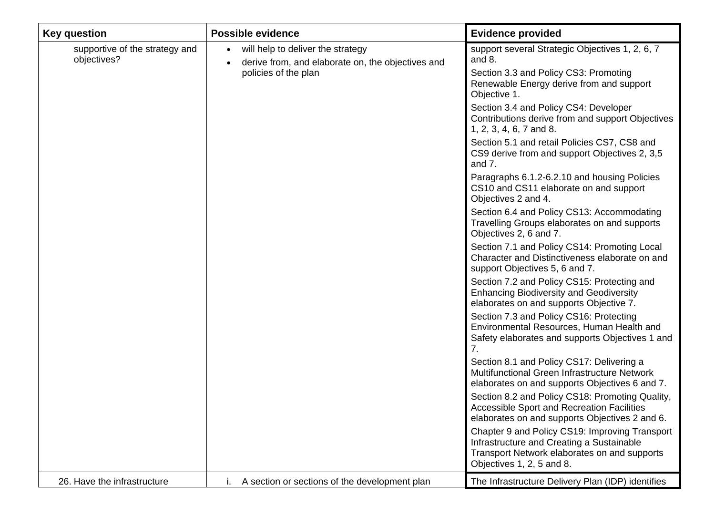| <b>Key question</b>                           | Possible evidence                                                                                                           | <b>Evidence provided</b>                                                                                                                                                                                                                                                                                                                                                                                                                                                                                                                                         |
|-----------------------------------------------|-----------------------------------------------------------------------------------------------------------------------------|------------------------------------------------------------------------------------------------------------------------------------------------------------------------------------------------------------------------------------------------------------------------------------------------------------------------------------------------------------------------------------------------------------------------------------------------------------------------------------------------------------------------------------------------------------------|
| supportive of the strategy and<br>objectives? | will help to deliver the strategy<br>$\bullet$<br>derive from, and elaborate on, the objectives and<br>policies of the plan | support several Strategic Objectives 1, 2, 6, 7<br>and 8.<br>Section 3.3 and Policy CS3: Promoting<br>Renewable Energy derive from and support<br>Objective 1.<br>Section 3.4 and Policy CS4: Developer<br>Contributions derive from and support Objectives<br>1, 2, 3, 4, 6, 7 and 8.<br>Section 5.1 and retail Policies CS7, CS8 and<br>CS9 derive from and support Objectives 2, 3,5<br>and 7.<br>Paragraphs 6.1.2-6.2.10 and housing Policies<br>CS10 and CS11 elaborate on and support<br>Objectives 2 and 4.<br>Section 6.4 and Policy CS13: Accommodating |
|                                               |                                                                                                                             | Travelling Groups elaborates on and supports<br>Objectives 2, 6 and 7.<br>Section 7.1 and Policy CS14: Promoting Local<br>Character and Distinctiveness elaborate on and<br>support Objectives 5, 6 and 7.<br>Section 7.2 and Policy CS15: Protecting and<br><b>Enhancing Biodiversity and Geodiversity</b><br>elaborates on and supports Objective 7.<br>Section 7.3 and Policy CS16: Protecting<br>Environmental Resources, Human Health and<br>Safety elaborates and supports Objectives 1 and                                                                |
|                                               |                                                                                                                             | 7.<br>Section 8.1 and Policy CS17: Delivering a<br>Multifunctional Green Infrastructure Network<br>elaborates on and supports Objectives 6 and 7.<br>Section 8.2 and Policy CS18: Promoting Quality,<br>Accessible Sport and Recreation Facilities<br>elaborates on and supports Objectives 2 and 6.<br>Chapter 9 and Policy CS19: Improving Transport<br>Infrastructure and Creating a Sustainable<br>Transport Network elaborates on and supports<br>Objectives 1, 2, 5 and 8.                                                                                 |
| 26. Have the infrastructure                   | A section or sections of the development plan                                                                               | The Infrastructure Delivery Plan (IDP) identifies                                                                                                                                                                                                                                                                                                                                                                                                                                                                                                                |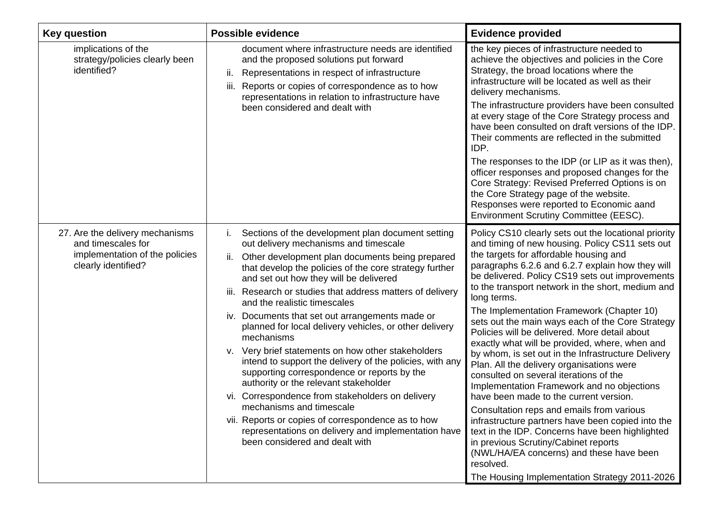| <b>Key question</b>                                                                                            | <b>Possible evidence</b>                                                                                                                                                                                                                                                                                                                                                                                                                                                                                                                                                                                                                                                                                                                                                                                                                                                                                                  | <b>Evidence provided</b>                                                                                                                                                                                                                                                                                                                                                                                                                                                                                                                                                                                                                                                                                                                                                                                                                                                                                                                                                                                                                                                     |
|----------------------------------------------------------------------------------------------------------------|---------------------------------------------------------------------------------------------------------------------------------------------------------------------------------------------------------------------------------------------------------------------------------------------------------------------------------------------------------------------------------------------------------------------------------------------------------------------------------------------------------------------------------------------------------------------------------------------------------------------------------------------------------------------------------------------------------------------------------------------------------------------------------------------------------------------------------------------------------------------------------------------------------------------------|------------------------------------------------------------------------------------------------------------------------------------------------------------------------------------------------------------------------------------------------------------------------------------------------------------------------------------------------------------------------------------------------------------------------------------------------------------------------------------------------------------------------------------------------------------------------------------------------------------------------------------------------------------------------------------------------------------------------------------------------------------------------------------------------------------------------------------------------------------------------------------------------------------------------------------------------------------------------------------------------------------------------------------------------------------------------------|
| implications of the<br>strategy/policies clearly been<br>identified?                                           | document where infrastructure needs are identified<br>and the proposed solutions put forward<br>Representations in respect of infrastructure<br>ii.<br>Reports or copies of correspondence as to how<br>Ш.<br>representations in relation to infrastructure have<br>been considered and dealt with                                                                                                                                                                                                                                                                                                                                                                                                                                                                                                                                                                                                                        | the key pieces of infrastructure needed to<br>achieve the objectives and policies in the Core<br>Strategy, the broad locations where the<br>infrastructure will be located as well as their<br>delivery mechanisms.<br>The infrastructure providers have been consulted<br>at every stage of the Core Strategy process and<br>have been consulted on draft versions of the IDP.<br>Their comments are reflected in the submitted<br>IDP.<br>The responses to the IDP (or LIP as it was then),<br>officer responses and proposed changes for the<br>Core Strategy: Revised Preferred Options is on<br>the Core Strategy page of the website.<br>Responses were reported to Economic aand<br>Environment Scrutiny Committee (EESC).                                                                                                                                                                                                                                                                                                                                            |
| 27. Are the delivery mechanisms<br>and timescales for<br>implementation of the policies<br>clearly identified? | Sections of the development plan document setting<br>out delivery mechanisms and timescale<br>ii.<br>Other development plan documents being prepared<br>that develop the policies of the core strategy further<br>and set out how they will be delivered<br>iii. Research or studies that address matters of delivery<br>and the realistic timescales<br>iv. Documents that set out arrangements made or<br>planned for local delivery vehicles, or other delivery<br>mechanisms<br>v. Very brief statements on how other stakeholders<br>intend to support the delivery of the policies, with any<br>supporting correspondence or reports by the<br>authority or the relevant stakeholder<br>vi. Correspondence from stakeholders on delivery<br>mechanisms and timescale<br>vii. Reports or copies of correspondence as to how<br>representations on delivery and implementation have<br>been considered and dealt with | Policy CS10 clearly sets out the locational priority<br>and timing of new housing. Policy CS11 sets out<br>the targets for affordable housing and<br>paragraphs 6.2.6 and 6.2.7 explain how they will<br>be delivered. Policy CS19 sets out improvements<br>to the transport network in the short, medium and<br>long terms.<br>The Implementation Framework (Chapter 10)<br>sets out the main ways each of the Core Strategy<br>Policies will be delivered. More detail about<br>exactly what will be provided, where, when and<br>by whom, is set out in the Infrastructure Delivery<br>Plan. All the delivery organisations were<br>consulted on several iterations of the<br>Implementation Framework and no objections<br>have been made to the current version.<br>Consultation reps and emails from various<br>infrastructure partners have been copied into the<br>text in the IDP. Concerns have been highlighted<br>in previous Scrutiny/Cabinet reports<br>(NWL/HA/EA concerns) and these have been<br>resolved.<br>The Housing Implementation Strategy 2011-2026 |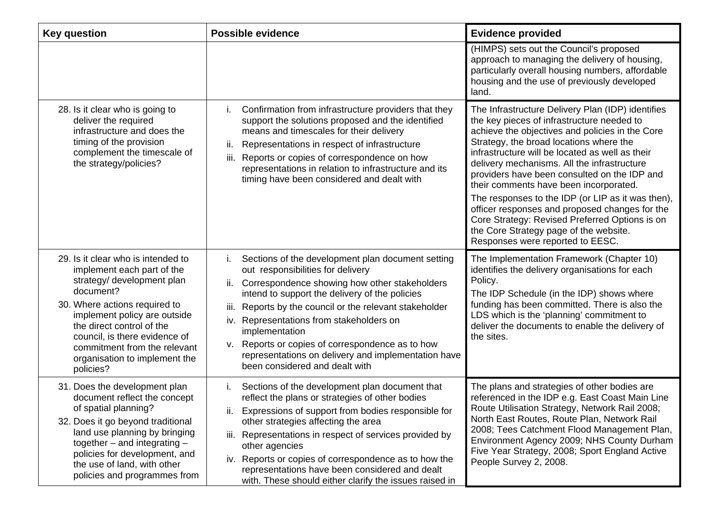| <b>Key question</b>                                                                                                                                                                                                                                                                                                      | <b>Possible evidence</b>                                                                                                                                                                                                                                                                                                                                                                                                                                                           | <b>Evidence provided</b>                                                                                                                                                                                                                                                                                                                                                                                                                                                                                                                                                                                                         |
|--------------------------------------------------------------------------------------------------------------------------------------------------------------------------------------------------------------------------------------------------------------------------------------------------------------------------|------------------------------------------------------------------------------------------------------------------------------------------------------------------------------------------------------------------------------------------------------------------------------------------------------------------------------------------------------------------------------------------------------------------------------------------------------------------------------------|----------------------------------------------------------------------------------------------------------------------------------------------------------------------------------------------------------------------------------------------------------------------------------------------------------------------------------------------------------------------------------------------------------------------------------------------------------------------------------------------------------------------------------------------------------------------------------------------------------------------------------|
|                                                                                                                                                                                                                                                                                                                          |                                                                                                                                                                                                                                                                                                                                                                                                                                                                                    | (HIMPS) sets out the Council's proposed<br>approach to managing the delivery of housing,<br>particularly overall housing numbers, affordable<br>housing and the use of previously developed<br>land.                                                                                                                                                                                                                                                                                                                                                                                                                             |
| 28. Is it clear who is going to<br>deliver the required<br>infrastructure and does the<br>timing of the provision<br>complement the timescale of<br>the strategy/policies?                                                                                                                                               | Confirmation from infrastructure providers that they<br>Τ.<br>support the solutions proposed and the identified<br>means and timescales for their delivery<br>Representations in respect of infrastructure<br>ii.<br>Reports or copies of correspondence on how<br>iii.<br>representations in relation to infrastructure and its<br>timing have been considered and dealt with                                                                                                     | The Infrastructure Delivery Plan (IDP) identifies<br>the key pieces of infrastructure needed to<br>achieve the objectives and policies in the Core<br>Strategy, the broad locations where the<br>infrastructure will be located as well as their<br>delivery mechanisms. All the infrastructure<br>providers have been consulted on the IDP and<br>their comments have been incorporated.<br>The responses to the IDP (or LIP as it was then),<br>officer responses and proposed changes for the<br>Core Strategy: Revised Preferred Options is on<br>the Core Strategy page of the website.<br>Responses were reported to EESC. |
| 29. Is it clear who is intended to<br>implement each part of the<br>strategy/ development plan<br>document?<br>30. Where actions required to<br>implement policy are outside<br>the direct control of the<br>council, is there evidence of<br>commitment from the relevant<br>organisation to implement the<br>policies? | Sections of the development plan document setting<br>Ι.<br>out responsibilities for delivery<br>Correspondence showing how other stakeholders<br>ii.<br>intend to support the delivery of the policies<br>Reports by the council or the relevant stakeholder<br>iii.<br>iv. Representations from stakeholders on<br>implementation<br>Reports or copies of correspondence as to how<br>v.<br>representations on delivery and implementation have<br>been considered and dealt with | The Implementation Framework (Chapter 10)<br>identifies the delivery organisations for each<br>Policy.<br>The IDP Schedule (in the IDP) shows where<br>funding has been committed. There is also the<br>LDS which is the 'planning' commitment to<br>deliver the documents to enable the delivery of<br>the sites.                                                                                                                                                                                                                                                                                                               |
| 31. Does the development plan<br>document reflect the concept<br>of spatial planning?<br>32. Does it go beyond traditional<br>land use planning by bringing<br>together $-$ and integrating $-$<br>policies for development, and<br>the use of land, with other<br>policies and programmes from                          | Sections of the development plan document that<br>Τ.<br>reflect the plans or strategies of other bodies<br>ii. Expressions of support from bodies responsible for<br>other strategies affecting the area<br>iii. Representations in respect of services provided by<br>other agencies<br>iv. Reports or copies of correspondence as to how the<br>representations have been considered and dealt<br>with. These should either clarify the issues raised in                         | The plans and strategies of other bodies are<br>referenced in the IDP e.g. East Coast Main Line<br>Route Utilisation Strategy, Network Rail 2008;<br>North East Routes, Route Plan, Network Rail<br>2008; Tees Catchment Flood Management Plan,<br>Environment Agency 2009; NHS County Durham<br>Five Year Strategy, 2008; Sport England Active<br>People Survey 2, 2008.                                                                                                                                                                                                                                                        |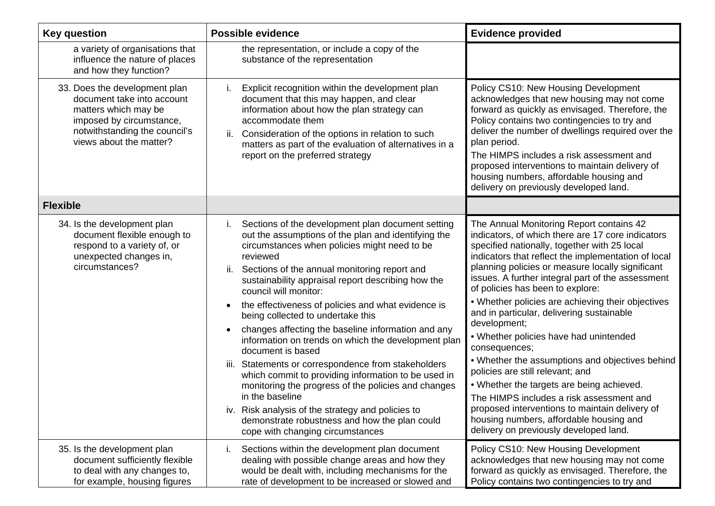| <b>Key question</b>                                                                                                                                                         | <b>Possible evidence</b>                                                                                                                                                                                                                                                                                                                                                                                                                                                                                                                                                                                                                                                                                                                                                                                                                                                                  | <b>Evidence provided</b>                                                                                                                                                                                                                                                                                                                                                                                                                                                                                                                                                                                                                                                                                                                                                                                                                              |
|-----------------------------------------------------------------------------------------------------------------------------------------------------------------------------|-------------------------------------------------------------------------------------------------------------------------------------------------------------------------------------------------------------------------------------------------------------------------------------------------------------------------------------------------------------------------------------------------------------------------------------------------------------------------------------------------------------------------------------------------------------------------------------------------------------------------------------------------------------------------------------------------------------------------------------------------------------------------------------------------------------------------------------------------------------------------------------------|-------------------------------------------------------------------------------------------------------------------------------------------------------------------------------------------------------------------------------------------------------------------------------------------------------------------------------------------------------------------------------------------------------------------------------------------------------------------------------------------------------------------------------------------------------------------------------------------------------------------------------------------------------------------------------------------------------------------------------------------------------------------------------------------------------------------------------------------------------|
| a variety of organisations that<br>influence the nature of places<br>and how they function?                                                                                 | the representation, or include a copy of the<br>substance of the representation                                                                                                                                                                                                                                                                                                                                                                                                                                                                                                                                                                                                                                                                                                                                                                                                           |                                                                                                                                                                                                                                                                                                                                                                                                                                                                                                                                                                                                                                                                                                                                                                                                                                                       |
| 33. Does the development plan<br>document take into account<br>matters which may be<br>imposed by circumstance,<br>notwithstanding the council's<br>views about the matter? | i.<br>Explicit recognition within the development plan<br>document that this may happen, and clear<br>information about how the plan strategy can<br>accommodate them<br>ii.<br>Consideration of the options in relation to such<br>matters as part of the evaluation of alternatives in a<br>report on the preferred strategy                                                                                                                                                                                                                                                                                                                                                                                                                                                                                                                                                            | Policy CS10: New Housing Development<br>acknowledges that new housing may not come<br>forward as quickly as envisaged. Therefore, the<br>Policy contains two contingencies to try and<br>deliver the number of dwellings required over the<br>plan period.<br>The HIMPS includes a risk assessment and<br>proposed interventions to maintain delivery of<br>housing numbers, affordable housing and<br>delivery on previously developed land.                                                                                                                                                                                                                                                                                                                                                                                                         |
| <b>Flexible</b>                                                                                                                                                             |                                                                                                                                                                                                                                                                                                                                                                                                                                                                                                                                                                                                                                                                                                                                                                                                                                                                                           |                                                                                                                                                                                                                                                                                                                                                                                                                                                                                                                                                                                                                                                                                                                                                                                                                                                       |
| 34. Is the development plan<br>document flexible enough to<br>respond to a variety of, or<br>unexpected changes in,<br>circumstances?                                       | Sections of the development plan document setting<br>out the assumptions of the plan and identifying the<br>circumstances when policies might need to be<br>reviewed<br>Sections of the annual monitoring report and<br>ii.<br>sustainability appraisal report describing how the<br>council will monitor:<br>the effectiveness of policies and what evidence is<br>$\bullet$<br>being collected to undertake this<br>changes affecting the baseline information and any<br>information on trends on which the development plan<br>document is based<br>Statements or correspondence from stakeholders<br>iii.<br>which commit to providing information to be used in<br>monitoring the progress of the policies and changes<br>in the baseline<br>iv. Risk analysis of the strategy and policies to<br>demonstrate robustness and how the plan could<br>cope with changing circumstances | The Annual Monitoring Report contains 42<br>indicators, of which there are 17 core indicators<br>specified nationally, together with 25 local<br>indicators that reflect the implementation of local<br>planning policies or measure locally significant<br>issues. A further integral part of the assessment<br>of policies has been to explore:<br>• Whether policies are achieving their objectives<br>and in particular, delivering sustainable<br>development;<br>• Whether policies have had unintended<br>consequences;<br>• Whether the assumptions and objectives behind<br>policies are still relevant; and<br>• Whether the targets are being achieved.<br>The HIMPS includes a risk assessment and<br>proposed interventions to maintain delivery of<br>housing numbers, affordable housing and<br>delivery on previously developed land. |
| 35. Is the development plan<br>document sufficiently flexible<br>to deal with any changes to,<br>for example, housing figures                                               | Sections within the development plan document<br>İ.<br>dealing with possible change areas and how they<br>would be dealt with, including mechanisms for the<br>rate of development to be increased or slowed and                                                                                                                                                                                                                                                                                                                                                                                                                                                                                                                                                                                                                                                                          | Policy CS10: New Housing Development<br>acknowledges that new housing may not come<br>forward as quickly as envisaged. Therefore, the<br>Policy contains two contingencies to try and                                                                                                                                                                                                                                                                                                                                                                                                                                                                                                                                                                                                                                                                 |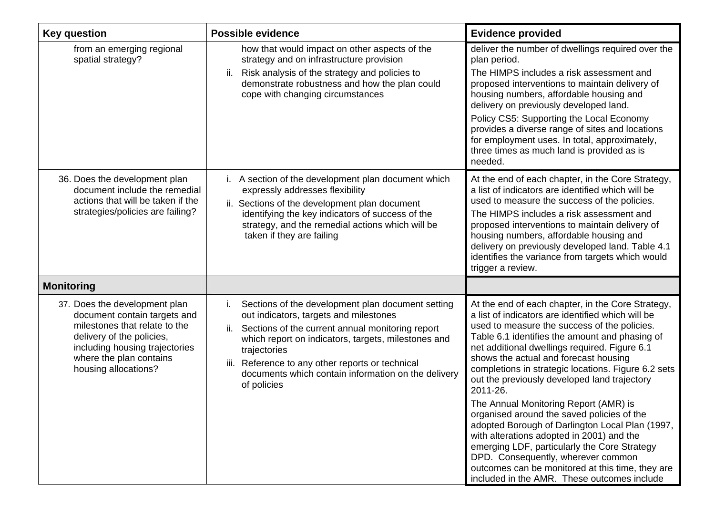| <b>Key question</b>                                                                                                                                                                                              | <b>Possible evidence</b>                                                                                                                                                                                                                                                                                                                                         | <b>Evidence provided</b>                                                                                                                                                                                                                                                                                                                                                                                                                                                                                                                                                                                                                                                                                                                                                                              |
|------------------------------------------------------------------------------------------------------------------------------------------------------------------------------------------------------------------|------------------------------------------------------------------------------------------------------------------------------------------------------------------------------------------------------------------------------------------------------------------------------------------------------------------------------------------------------------------|-------------------------------------------------------------------------------------------------------------------------------------------------------------------------------------------------------------------------------------------------------------------------------------------------------------------------------------------------------------------------------------------------------------------------------------------------------------------------------------------------------------------------------------------------------------------------------------------------------------------------------------------------------------------------------------------------------------------------------------------------------------------------------------------------------|
| from an emerging regional<br>spatial strategy?                                                                                                                                                                   | how that would impact on other aspects of the<br>strategy and on infrastructure provision<br>Risk analysis of the strategy and policies to<br>ii.<br>demonstrate robustness and how the plan could<br>cope with changing circumstances                                                                                                                           | deliver the number of dwellings required over the<br>plan period.<br>The HIMPS includes a risk assessment and<br>proposed interventions to maintain delivery of<br>housing numbers, affordable housing and<br>delivery on previously developed land.<br>Policy CS5: Supporting the Local Economy<br>provides a diverse range of sites and locations<br>for employment uses. In total, approximately,<br>three times as much land is provided as is<br>needed.                                                                                                                                                                                                                                                                                                                                         |
| 36. Does the development plan<br>document include the remedial<br>actions that will be taken if the<br>strategies/policies are failing?                                                                          | i. A section of the development plan document which<br>expressly addresses flexibility<br>ii. Sections of the development plan document<br>identifying the key indicators of success of the<br>strategy, and the remedial actions which will be<br>taken if they are failing                                                                                     | At the end of each chapter, in the Core Strategy,<br>a list of indicators are identified which will be<br>used to measure the success of the policies.<br>The HIMPS includes a risk assessment and<br>proposed interventions to maintain delivery of<br>housing numbers, affordable housing and<br>delivery on previously developed land. Table 4.1<br>identifies the variance from targets which would<br>trigger a review.                                                                                                                                                                                                                                                                                                                                                                          |
| <b>Monitoring</b>                                                                                                                                                                                                |                                                                                                                                                                                                                                                                                                                                                                  |                                                                                                                                                                                                                                                                                                                                                                                                                                                                                                                                                                                                                                                                                                                                                                                                       |
| 37. Does the development plan<br>document contain targets and<br>milestones that relate to the<br>delivery of the policies,<br>including housing trajectories<br>where the plan contains<br>housing allocations? | Sections of the development plan document setting<br>Τ.<br>out indicators, targets and milestones<br>Sections of the current annual monitoring report<br>ii.<br>which report on indicators, targets, milestones and<br>trajectories<br>Reference to any other reports or technical<br>iii.<br>documents which contain information on the delivery<br>of policies | At the end of each chapter, in the Core Strategy,<br>a list of indicators are identified which will be<br>used to measure the success of the policies.<br>Table 6.1 identifies the amount and phasing of<br>net additional dwellings required. Figure 6.1<br>shows the actual and forecast housing<br>completions in strategic locations. Figure 6.2 sets<br>out the previously developed land trajectory<br>2011-26.<br>The Annual Monitoring Report (AMR) is<br>organised around the saved policies of the<br>adopted Borough of Darlington Local Plan (1997,<br>with alterations adopted in 2001) and the<br>emerging LDF, particularly the Core Strategy<br>DPD. Consequently, wherever common<br>outcomes can be monitored at this time, they are<br>included in the AMR. These outcomes include |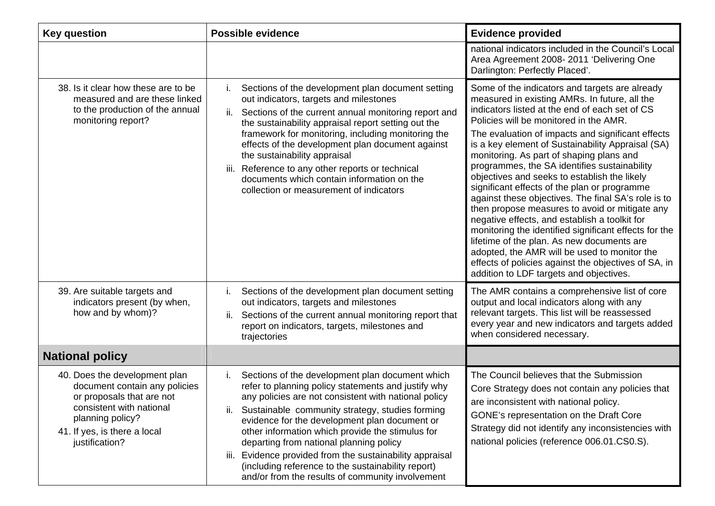| <b>Key question</b>                                                                                                                                                                           | <b>Possible evidence</b>                                                                                                                                                                                                                                                                                                                                                                                                                                                                                                                                | <b>Evidence provided</b>                                                                                                                                                                                                                                                                                                                                                                                                                                                                                                                                                                                                                                                                                                                                                                                                                                                                                              |
|-----------------------------------------------------------------------------------------------------------------------------------------------------------------------------------------------|---------------------------------------------------------------------------------------------------------------------------------------------------------------------------------------------------------------------------------------------------------------------------------------------------------------------------------------------------------------------------------------------------------------------------------------------------------------------------------------------------------------------------------------------------------|-----------------------------------------------------------------------------------------------------------------------------------------------------------------------------------------------------------------------------------------------------------------------------------------------------------------------------------------------------------------------------------------------------------------------------------------------------------------------------------------------------------------------------------------------------------------------------------------------------------------------------------------------------------------------------------------------------------------------------------------------------------------------------------------------------------------------------------------------------------------------------------------------------------------------|
|                                                                                                                                                                                               |                                                                                                                                                                                                                                                                                                                                                                                                                                                                                                                                                         | national indicators included in the Council's Local<br>Area Agreement 2008-2011 'Delivering One<br>Darlington: Perfectly Placed'.                                                                                                                                                                                                                                                                                                                                                                                                                                                                                                                                                                                                                                                                                                                                                                                     |
| 38. Is it clear how these are to be<br>measured and are these linked<br>to the production of the annual<br>monitoring report?                                                                 | Sections of the development plan document setting<br>out indicators, targets and milestones<br>Sections of the current annual monitoring report and<br>ii.<br>the sustainability appraisal report setting out the<br>framework for monitoring, including monitoring the<br>effects of the development plan document against<br>the sustainability appraisal<br>Reference to any other reports or technical<br>iii.<br>documents which contain information on the<br>collection or measurement of indicators                                             | Some of the indicators and targets are already<br>measured in existing AMRs. In future, all the<br>indicators listed at the end of each set of CS<br>Policies will be monitored in the AMR.<br>The evaluation of impacts and significant effects<br>is a key element of Sustainability Appraisal (SA)<br>monitoring. As part of shaping plans and<br>programmes, the SA identifies sustainability<br>objectives and seeks to establish the likely<br>significant effects of the plan or programme<br>against these objectives. The final SA's role is to<br>then propose measures to avoid or mitigate any<br>negative effects, and establish a toolkit for<br>monitoring the identified significant effects for the<br>lifetime of the plan. As new documents are<br>adopted, the AMR will be used to monitor the<br>effects of policies against the objectives of SA, in<br>addition to LDF targets and objectives. |
| 39. Are suitable targets and<br>indicators present (by when,<br>how and by whom)?                                                                                                             | Sections of the development plan document setting<br>i.<br>out indicators, targets and milestones<br>ii.<br>Sections of the current annual monitoring report that<br>report on indicators, targets, milestones and<br>trajectories                                                                                                                                                                                                                                                                                                                      | The AMR contains a comprehensive list of core<br>output and local indicators along with any<br>relevant targets. This list will be reassessed<br>every year and new indicators and targets added<br>when considered necessary.                                                                                                                                                                                                                                                                                                                                                                                                                                                                                                                                                                                                                                                                                        |
| <b>National policy</b>                                                                                                                                                                        |                                                                                                                                                                                                                                                                                                                                                                                                                                                                                                                                                         |                                                                                                                                                                                                                                                                                                                                                                                                                                                                                                                                                                                                                                                                                                                                                                                                                                                                                                                       |
| 40. Does the development plan<br>document contain any policies<br>or proposals that are not<br>consistent with national<br>planning policy?<br>41. If yes, is there a local<br>justification? | Sections of the development plan document which<br>İ.<br>refer to planning policy statements and justify why<br>any policies are not consistent with national policy<br>Sustainable community strategy, studies forming<br>II.<br>evidence for the development plan document or<br>other information which provide the stimulus for<br>departing from national planning policy<br>Evidence provided from the sustainability appraisal<br>III.<br>(including reference to the sustainability report)<br>and/or from the results of community involvement | The Council believes that the Submission<br>Core Strategy does not contain any policies that<br>are inconsistent with national policy.<br>GONE's representation on the Draft Core<br>Strategy did not identify any inconsistencies with<br>national policies (reference 006.01.CS0.S).                                                                                                                                                                                                                                                                                                                                                                                                                                                                                                                                                                                                                                |